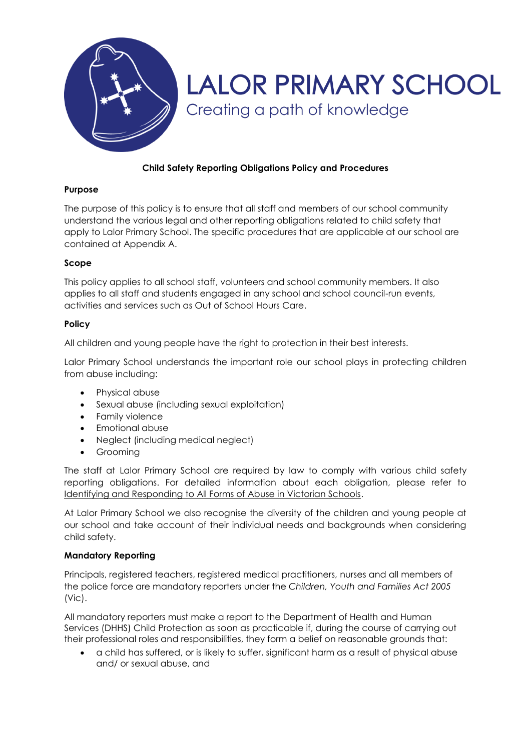

# **Child Safety Reporting Obligations Policy and Procedures**

## **Purpose**

The purpose of this policy is to ensure that all staff and members of our school community understand the various legal and other reporting obligations related to child safety that apply to Lalor Primary School. The specific procedures that are applicable at our school are contained at Appendix A.

## **Scope**

This policy applies to all school staff, volunteers and school community members. It also applies to all staff and students engaged in any school and school council-run events, activities and services such as Out of School Hours Care.

#### **Policy**

All children and young people have the right to protection in their best interests.

Lalor Primary School understands the important role our school plays in protecting children from abuse including:

- Physical abuse
- Sexual abuse (including sexual exploitation)
- Family violence
- Emotional abuse
- Neglect (including medical neglect)
- Groomina

The staff at Lalor Primary School are required by law to comply with various child safety reporting obligations. For detailed information about each obligation, please refer to [Identifying and Responding to All Forms of Abuse in Victorian Schools.](https://www.education.vic.gov.au/Documents/about/programs/health/protect/ChildSafeStandard5_SchoolsGuide.pdf)

At Lalor Primary School we also recognise the diversity of the children and young people at our school and take account of their individual needs and backgrounds when considering child safety.

#### **Mandatory Reporting**

Principals, registered teachers, registered medical practitioners, nurses and all members of the police force are mandatory reporters under the *Children, Youth and Families Act 2005* (Vic).

All mandatory reporters must make a report to the Department of Health and Human Services (DHHS) Child Protection as soon as practicable if, during the course of carrying out their professional roles and responsibilities, they form a belief on reasonable grounds that:

 a child has suffered, or is likely to suffer, significant harm as a result of physical abuse and/ or sexual abuse, and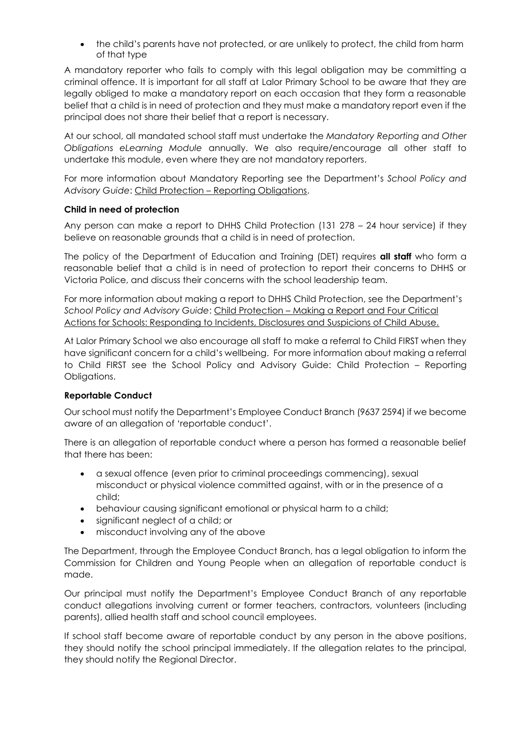• the child's parents have not protected, or are unlikely to protect, the child from harm of that type

A mandatory reporter who fails to comply with this legal obligation may be committing a criminal offence. It is important for all staff at Lalor Primary School to be aware that they are legally obliged to make a mandatory report on each occasion that they form a reasonable belief that a child is in need of protection and they must make a mandatory report even if the principal does not share their belief that a report is necessary.

At our school, all mandated school staff must undertake the *Mandatory Reporting and Other Obligations eLearning Module* annually. We also require/encourage all other staff to undertake this module, even where they are not mandatory reporters.

For more information about Mandatory Reporting see the Department's *School Policy and Advisory Guide*: Child Protection – [Reporting Obligations.](http://www.education.vic.gov.au/school/principals/spag/safety/Pages/childprotectobligation.aspx)

## **Child in need of protection**

Any person can make a report to DHHS Child Protection (131 278 – 24 hour service) if they believe on reasonable grounds that a child is in need of protection.

The policy of the Department of Education and Training (DET) requires **all staff** who form a reasonable belief that a child is in need of protection to report their concerns to DHHS or Victoria Police, and discuss their concerns with the school leadership team.

For more information about making a report to DHHS Child Protection, see the Department's *School Policy and Advisory Guide*: Child Protection – [Making a Report](http://www.education.vic.gov.au/school/principals/spag/safety/Pages/childprotectreporting.aspx) and [Four Critical](https://www.education.vic.gov.au/Documents/about/programs/health/protect/FourCriticalActions_ChildAbuse.pdf)  [Actions for Schools: Responding to Incidents, Disclosures and Suspicions of Child Abuse.](https://www.education.vic.gov.au/Documents/about/programs/health/protect/FourCriticalActions_ChildAbuse.pdf)

At Lalor Primary School we also encourage all staff to make a referral to Child FIRST when they have significant concern for a child's wellbeing. For more information about making a referral to Child FIRST see the School Policy and Advisory Guide: [Child Protection](https://www.education.vic.gov.au/school/principals/spag/safety/Pages/childprotectobligation.aspx) – Reporting [Obligations.](https://www.education.vic.gov.au/school/principals/spag/safety/Pages/childprotectobligation.aspx)

# **Reportable Conduct**

Our school must notify the Department's Employee Conduct Branch (9637 2594) if we become aware of an allegation of 'reportable conduct'.

There is an allegation of reportable conduct where a person has formed a reasonable belief that there has been:

- a sexual offence (even prior to criminal proceedings commencing), sexual misconduct or physical violence committed against, with or in the presence of a child;
- behaviour causing significant emotional or physical harm to a child;
- significant neglect of a child; or
- misconduct involving any of the above

The Department, through the Employee Conduct Branch, has a legal obligation to inform the Commission for Children and Young People when an allegation of reportable conduct is made.

Our principal must notify the Department's Employee Conduct Branch of any reportable conduct allegations involving current or former teachers, contractors, volunteers (including parents), allied health staff and school council employees.

If school staff become aware of reportable conduct by any person in the above positions, they should notify the school principal immediately. If the allegation relates to the principal, they should notify the Regional Director.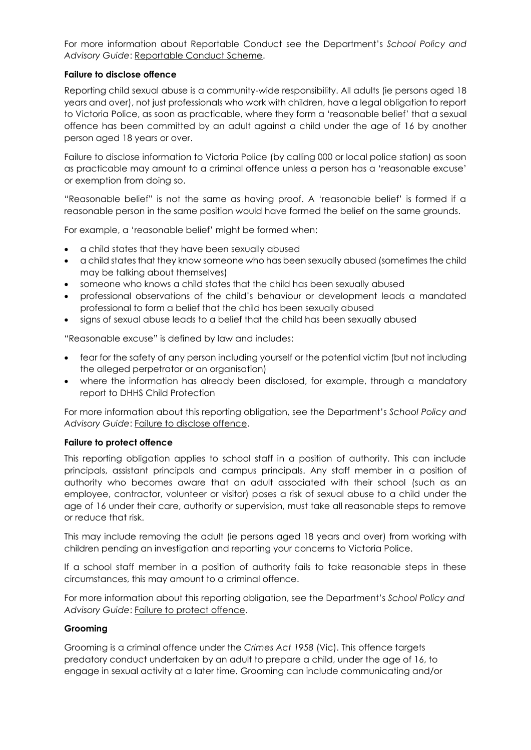For more information about Reportable Conduct see the Department's *School Policy and Advisory Guide*: [Reportable Conduct Scheme.](http://www.education.vic.gov.au/school/principals/spag/safety/Pages/reportableconductscheme.aspx)

#### **Failure to disclose offence**

Reporting child sexual abuse is a community-wide responsibility. All adults (ie persons aged 18 years and over), not just professionals who work with children, have a legal obligation to report to Victoria Police, as soon as practicable, where they form a 'reasonable belief' that a sexual offence has been committed by an adult against a child under the age of 16 by another person aged 18 years or over.

Failure to disclose information to Victoria Police (by calling 000 or local police station) as soon as practicable may amount to a criminal offence unless a person has a 'reasonable excuse' or exemption from doing so.

"Reasonable belief" is not the same as having proof. A 'reasonable belief' is formed if a reasonable person in the same position would have formed the belief on the same grounds.

For example, a 'reasonable belief' might be formed when:

- a child states that they have been sexually abused
- a child states that they know someone who has been sexually abused (sometimes the child may be talking about themselves)
- someone who knows a child states that the child has been sexually abused
- professional observations of the child's behaviour or development leads a mandated professional to form a belief that the child has been sexually abused
- signs of sexual abuse leads to a belief that the child has been sexually abused

"Reasonable excuse" is defined by law and includes:

- fear for the safety of any person including yourself or the potential victim (but not including the alleged perpetrator or an organisation)
- where the information has already been disclosed, for example, through a mandatory report to DHHS Child Protection

For more information about this reporting obligation, see the Department's *School Policy and*  Advisory Guide: [Failure to disclose offence.](http://www.education.vic.gov.au/school/principals/spag/safety/Pages/childprotectobligation.aspx)

# **Failure to protect offence**

This reporting obligation applies to school staff in a position of authority. This can include principals, assistant principals and campus principals. Any staff member in a position of authority who becomes aware that an adult associated with their school (such as an employee, contractor, volunteer or visitor) poses a risk of sexual abuse to a child under the age of 16 under their care, authority or supervision, must take all reasonable steps to remove or reduce that risk.

This may include removing the adult (ie persons aged 18 years and over) from working with children pending an investigation and reporting your concerns to Victoria Police.

If a school staff member in a position of authority fails to take reasonable steps in these circumstances, this may amount to a criminal offence.

For more information about this reporting obligation, see the Department's *School Policy and Advisory Guide*: [Failure to protect offence.](http://www.education.vic.gov.au/school/principals/spag/safety/Pages/childprotectobligation.aspx)

# **Grooming**

Grooming is a criminal offence under the *Crimes Act 1958* (Vic). This offence targets predatory conduct undertaken by an adult to prepare a child, under the age of 16, to engage in sexual activity at a later time. Grooming can include communicating and/or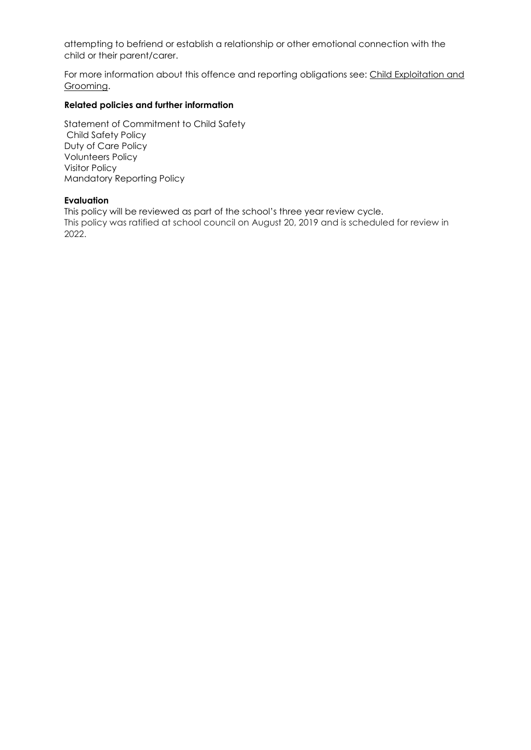attempting to befriend or establish a relationship or other emotional connection with the child or their parent/carer.

For more information about this offence and reporting obligations see: [Child Exploitation and](https://www.education.vic.gov.au/school/teachers/health/childprotection/Pages/expolitationgrooming.aspx)  [Grooming.](https://www.education.vic.gov.au/school/teachers/health/childprotection/Pages/expolitationgrooming.aspx)

### **Related policies and further information**

Statement of Commitment to Child Safety Child Safety Policy Duty of Care Policy Volunteers Policy Visitor Policy Mandatory Reporting Policy

#### **Evaluation**

This policy will be reviewed as part of the school's three year review cycle. This policy was ratified at school council on August 20, 2019 and is scheduled for review in 2022.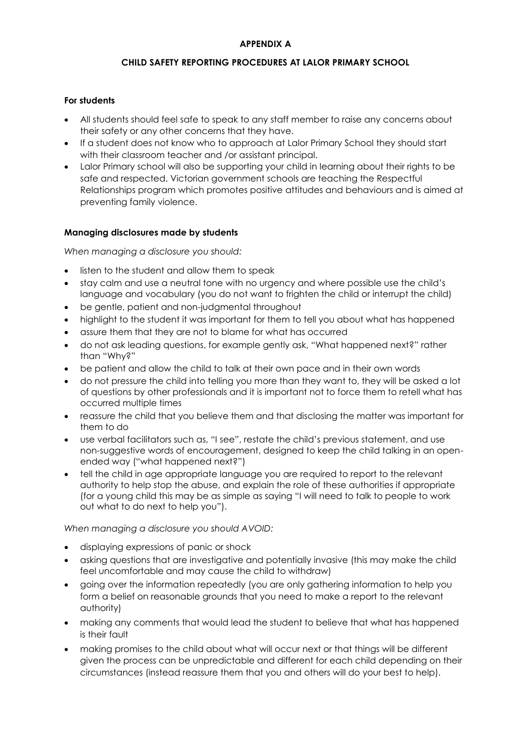# **APPENDIX A**

## **CHILD SAFETY REPORTING PROCEDURES AT LALOR PRIMARY SCHOOL**

### **For students**

- All students should feel safe to speak to any staff member to raise any concerns about their safety or any other concerns that they have.
- If a student does not know who to approach at Lalor Primary School they should start with their classroom teacher and /or assistant principal.
- Lalor Primary school will also be supporting your child in learning about their rights to be safe and respected. Victorian government schools are teaching the Respectful Relationships program which promotes positive attitudes and behaviours and is aimed at preventing family violence.

## **Managing disclosures made by students**

*When managing a disclosure you should:*

- listen to the student and allow them to speak
- stay calm and use a neutral tone with no urgency and where possible use the child's language and vocabulary (you do not want to frighten the child or interrupt the child)
- be gentle, patient and non-judgmental throughout
- highlight to the student it was important for them to tell you about what has happened
- assure them that they are not to blame for what has occurred
- do not ask leading questions, for example gently ask, "What happened next?" rather than "Why?"
- be patient and allow the child to talk at their own pace and in their own words
- do not pressure the child into telling you more than they want to, they will be asked a lot of questions by other professionals and it is important not to force them to retell what has occurred multiple times
- reassure the child that you believe them and that disclosing the matter was important for them to do
- use verbal facilitators such as, "I see", restate the child's previous statement, and use non-suggestive words of encouragement, designed to keep the child talking in an openended way ("what happened next?")
- tell the child in age appropriate language you are required to report to the relevant authority to help stop the abuse, and explain the role of these authorities if appropriate (for a young child this may be as simple as saying "I will need to talk to people to work out what to do next to help you").

*When managing a disclosure you should AVOID:*

- displaying expressions of panic or shock
- asking questions that are investigative and potentially invasive (this may make the child feel uncomfortable and may cause the child to withdraw)
- going over the information repeatedly (you are only gathering information to help you form a belief on reasonable grounds that you need to make a report to the relevant authority)
- making any comments that would lead the student to believe that what has happened is their fault
- making promises to the child about what will occur next or that things will be different given the process can be unpredictable and different for each child depending on their circumstances (instead reassure them that you and others will do your best to help).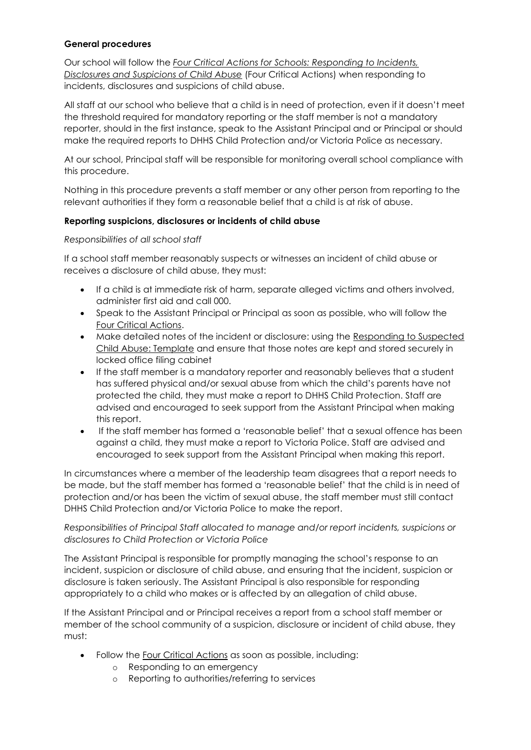### **General procedures**

Our school will follow the *[Four Critical Actions for Schools: Responding to Incidents,](https://www.education.vic.gov.au/Documents/about/programs/health/protect/FourCriticalActions_ChildAbuse.pdf)  [Disclosures and Suspicions of](https://www.education.vic.gov.au/Documents/about/programs/health/protect/FourCriticalActions_ChildAbuse.pdf) Child Abuse* (Four Critical Actions) when responding to incidents, disclosures and suspicions of child abuse.

All staff at our school who believe that a child is in need of protection, even if it doesn't meet the threshold required for mandatory reporting or the staff member is not a mandatory reporter, should in the first instance, speak to the Assistant Principal and or Principal or should make the required reports to DHHS Child Protection and/or Victoria Police as necessary.

At our school, Principal staff will be responsible for monitoring overall school compliance with this procedure.

Nothing in this procedure prevents a staff member or any other person from reporting to the relevant authorities if they form a reasonable belief that a child is at risk of abuse.

## **Reporting suspicions, disclosures or incidents of child abuse**

## *Responsibilities of all school staff*

If a school staff member reasonably suspects or witnesses an incident of child abuse or receives a disclosure of child abuse, they must:

- If a child is at immediate risk of harm, separate alleged victims and others involved, administer first aid and call 000.
- Speak to the Assistant Principal or Principal as soon as possible, who will follow the [Four Critical Actions.](https://www.education.vic.gov.au/Documents/about/programs/health/protect/FourCriticalActions_ChildAbuse.pdf)
- Make detailed notes of the incident or disclosure: using the [Responding to Suspected](https://www.education.vic.gov.au/Documents/about/programs/health/protect/PROTECT_Schoolstemplate.pdf)  [Child Abuse: Template](https://www.education.vic.gov.au/Documents/about/programs/health/protect/PROTECT_Schoolstemplate.pdf) and ensure that those notes are kept and stored securely in locked office filing cabinet
- If the staff member is a mandatory reporter and reasonably believes that a student has suffered physical and/or sexual abuse from which the child's parents have not protected the child, they must make a report to DHHS Child Protection. Staff are advised and encouraged to seek support from the Assistant Principal when making this report.
- If the staff member has formed a 'reasonable belief' that a sexual offence has been against a child, they must make a report to Victoria Police. Staff are advised and encouraged to seek support from the Assistant Principal when making this report.

In circumstances where a member of the leadership team disagrees that a report needs to be made, but the staff member has formed a 'reasonable belief' that the child is in need of protection and/or has been the victim of sexual abuse, the staff member must still contact DHHS Child Protection and/or Victoria Police to make the report.

*Responsibilities of Principal Staff allocated to manage and/or report incidents, suspicions or disclosures to Child Protection or Victoria Police*

The Assistant Principal is responsible for promptly managing the school's response to an incident, suspicion or disclosure of child abuse, and ensuring that the incident, suspicion or disclosure is taken seriously. The Assistant Principal is also responsible for responding appropriately to a child who makes or is affected by an allegation of child abuse.

If the Assistant Principal and or Principal receives a report from a school staff member or member of the school community of a suspicion, disclosure or incident of child abuse, they must:

- Follow the [Four Critical Actions](https://www.education.vic.gov.au/Documents/about/programs/health/protect/FourCriticalActions_ChildAbuse.pdf) as soon as possible, including:
	- o Responding to an emergency
	- o Reporting to authorities/referring to services